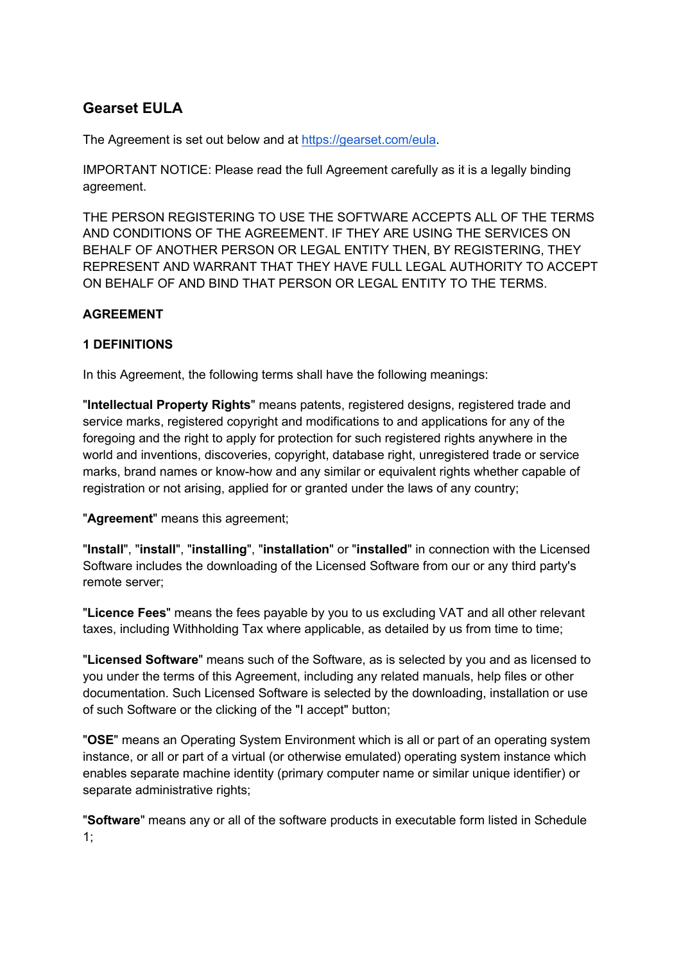# **Gearset EULA**

The Agreement is set out below and at https://gearset.com/eula.

IMPORTANT NOTICE: Please read the full Agreement carefully as it is a legally binding agreement.

THE PERSON REGISTERING TO USE THE SOFTWARE ACCEPTS ALL OF THE TERMS AND CONDITIONS OF THE AGREEMENT. IF THEY ARE USING THE SERVICES ON BEHALF OF ANOTHER PERSON OR LEGAL ENTITY THEN, BY REGISTERING, THEY REPRESENT AND WARRANT THAT THEY HAVE FULL LEGAL AUTHORITY TO ACCEPT ON BEHALF OF AND BIND THAT PERSON OR LEGAL ENTITY TO THE TERMS.

### **AGREEMENT**

### **1 DEFINITIONS**

In this Agreement, the following terms shall have the following meanings:

"**Intellectual Property Rights**" means patents, registered designs, registered trade and service marks, registered copyright and modifications to and applications for any of the foregoing and the right to apply for protection for such registered rights anywhere in the world and inventions, discoveries, copyright, database right, unregistered trade or service marks, brand names or know-how and any similar or equivalent rights whether capable of registration or not arising, applied for or granted under the laws of any country;

"**Agreement**" means this agreement;

"**Install**", "**install**", "**installing**", "**installation**" or "**installed**" in connection with the Licensed Software includes the downloading of the Licensed Software from our or any third party's remote server;

"**Licence Fees**" means the fees payable by you to us excluding VAT and all other relevant taxes, including Withholding Tax where applicable, as detailed by us from time to time;

"**Licensed Software**" means such of the Software, as is selected by you and as licensed to you under the terms of this Agreement, including any related manuals, help files or other documentation. Such Licensed Software is selected by the downloading, installation or use of such Software or the clicking of the "I accept" button;

"**OSE**" means an Operating System Environment which is all or part of an operating system instance, or all or part of a virtual (or otherwise emulated) operating system instance which enables separate machine identity (primary computer name or similar unique identifier) or separate administrative rights;

"**Software**" means any or all of the software products in executable form listed in Schedule 1;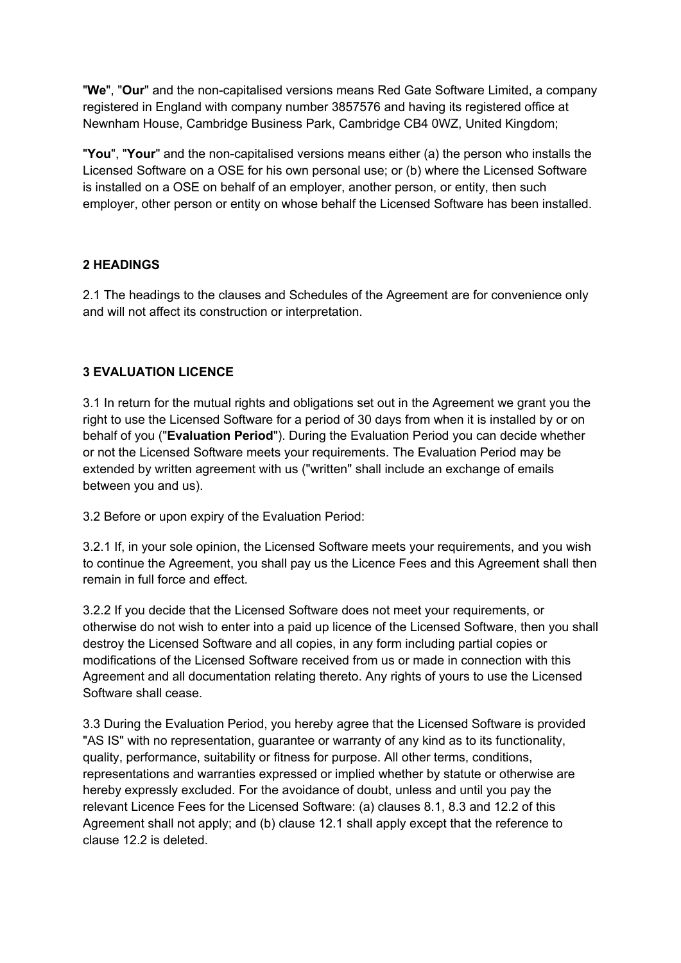"**We**", "**Our**" and the non-capitalised versions means Red Gate Software Limited, a company registered in England with company number 3857576 and having its registered office at Newnham House, Cambridge Business Park, Cambridge CB4 0WZ, United Kingdom;

"**You**", "**Your**" and the non-capitalised versions means either (a) the person who installs the Licensed Software on a OSE for his own personal use; or (b) where the Licensed Software is installed on a OSE on behalf of an employer, another person, or entity, then such employer, other person or entity on whose behalf the Licensed Software has been installed.

### **2 HEADINGS**

2.1 The headings to the clauses and Schedules of the Agreement are for convenience only and will not affect its construction or interpretation.

# **3 EVALUATION LICENCE**

3.1 In return for the mutual rights and obligations set out in the Agreement we grant you the right to use the Licensed Software for a period of 30 days from when it is installed by or on behalf of you ("**Evaluation Period**"). During the Evaluation Period you can decide whether or not the Licensed Software meets your requirements. The Evaluation Period may be extended by written agreement with us ("written" shall include an exchange of emails between you and us).

3.2 Before or upon expiry of the Evaluation Period:

3.2.1 If, in your sole opinion, the Licensed Software meets your requirements, and you wish to continue the Agreement, you shall pay us the Licence Fees and this Agreement shall then remain in full force and effect.

3.2.2 If you decide that the Licensed Software does not meet your requirements, or otherwise do not wish to enter into a paid up licence of the Licensed Software, then you shall destroy the Licensed Software and all copies, in any form including partial copies or modifications of the Licensed Software received from us or made in connection with this Agreement and all documentation relating thereto. Any rights of yours to use the Licensed Software shall cease.

3.3 During the Evaluation Period, you hereby agree that the Licensed Software is provided "AS IS" with no representation, guarantee or warranty of any kind as to its functionality, quality, performance, suitability or fitness for purpose. All other terms, conditions, representations and warranties expressed or implied whether by statute or otherwise are hereby expressly excluded. For the avoidance of doubt, unless and until you pay the relevant Licence Fees for the Licensed Software: (a) clauses 8.1, 8.3 and 12.2 of this Agreement shall not apply; and (b) clause 12.1 shall apply except that the reference to clause 12.2 is deleted.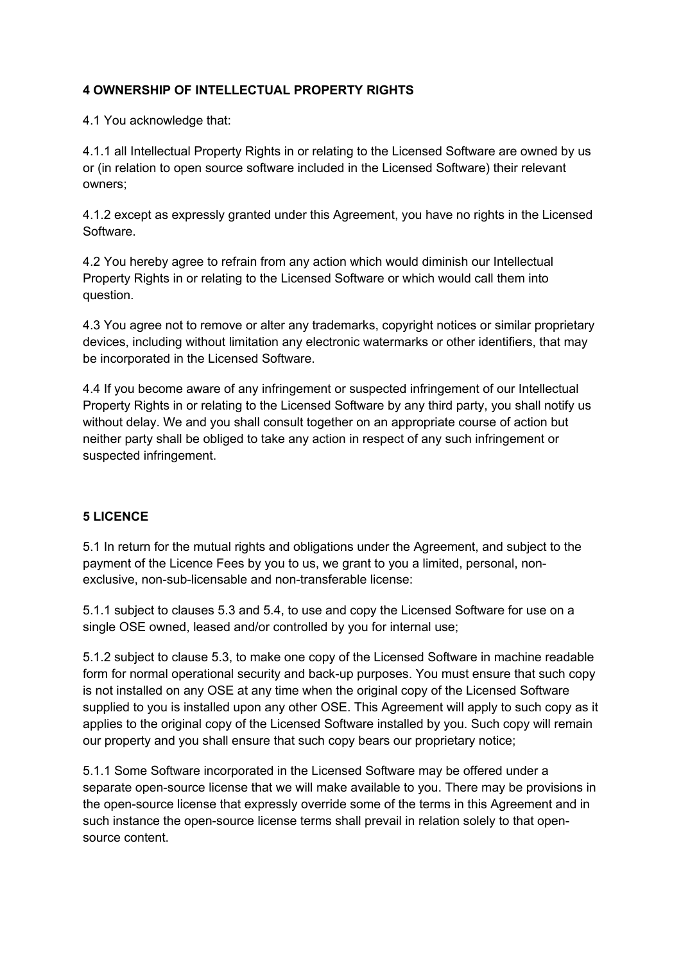# **4 OWNERSHIP OF INTELLECTUAL PROPERTY RIGHTS**

4.1 You acknowledge that:

4.1.1 all Intellectual Property Rights in or relating to the Licensed Software are owned by us or (in relation to open source software included in the Licensed Software) their relevant owners;

4.1.2 except as expressly granted under this Agreement, you have no rights in the Licensed Software.

4.2 You hereby agree to refrain from any action which would diminish our Intellectual Property Rights in or relating to the Licensed Software or which would call them into question.

4.3 You agree not to remove or alter any trademarks, copyright notices or similar proprietary devices, including without limitation any electronic watermarks or other identifiers, that may be incorporated in the Licensed Software.

4.4 If you become aware of any infringement or suspected infringement of our Intellectual Property Rights in or relating to the Licensed Software by any third party, you shall notify us without delay. We and you shall consult together on an appropriate course of action but neither party shall be obliged to take any action in respect of any such infringement or suspected infringement.

### **5 LICENCE**

5.1 In return for the mutual rights and obligations under the Agreement, and subject to the payment of the Licence Fees by you to us, we grant to you a limited, personal, nonexclusive, non-sub-licensable and non-transferable license:

5.1.1 subject to clauses 5.3 and 5.4, to use and copy the Licensed Software for use on a single OSE owned, leased and/or controlled by you for internal use;

5.1.2 subject to clause 5.3, to make one copy of the Licensed Software in machine readable form for normal operational security and back-up purposes. You must ensure that such copy is not installed on any OSE at any time when the original copy of the Licensed Software supplied to you is installed upon any other OSE. This Agreement will apply to such copy as it applies to the original copy of the Licensed Software installed by you. Such copy will remain our property and you shall ensure that such copy bears our proprietary notice;

5.1.1 Some Software incorporated in the Licensed Software may be offered under a separate open-source license that we will make available to you. There may be provisions in the open-source license that expressly override some of the terms in this Agreement and in such instance the open-source license terms shall prevail in relation solely to that opensource content.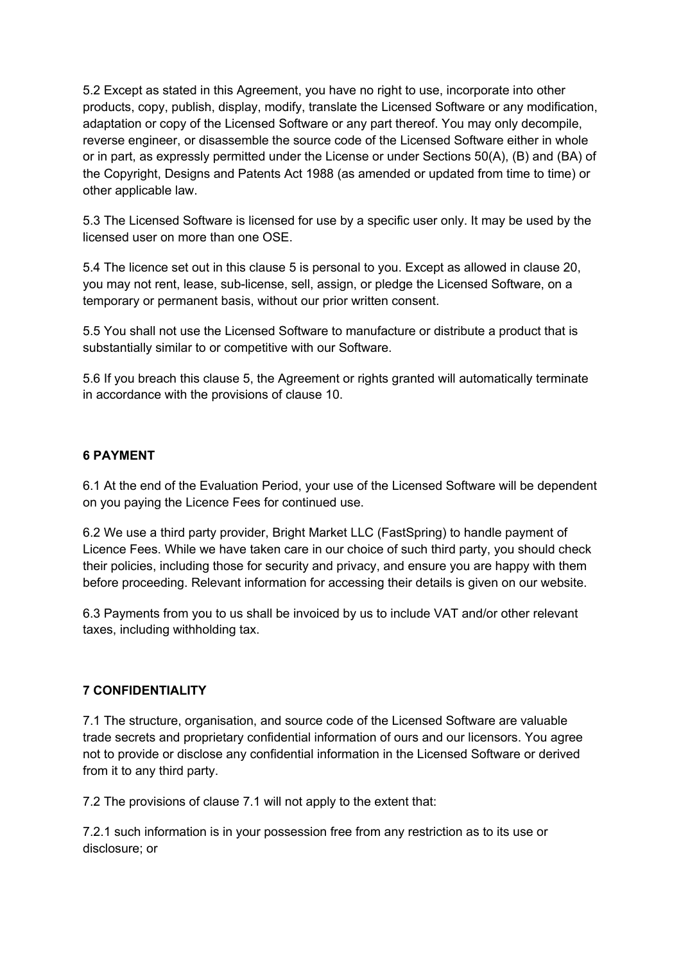5.2 Except as stated in this Agreement, you have no right to use, incorporate into other products, copy, publish, display, modify, translate the Licensed Software or any modification, adaptation or copy of the Licensed Software or any part thereof. You may only decompile, reverse engineer, or disassemble the source code of the Licensed Software either in whole or in part, as expressly permitted under the License or under Sections 50(A), (B) and (BA) of the Copyright, Designs and Patents Act 1988 (as amended or updated from time to time) or other applicable law.

5.3 The Licensed Software is licensed for use by a specific user only. It may be used by the licensed user on more than one OSE.

5.4 The licence set out in this clause 5 is personal to you. Except as allowed in clause 20, you may not rent, lease, sub-license, sell, assign, or pledge the Licensed Software, on a temporary or permanent basis, without our prior written consent.

5.5 You shall not use the Licensed Software to manufacture or distribute a product that is substantially similar to or competitive with our Software.

5.6 If you breach this clause 5, the Agreement or rights granted will automatically terminate in accordance with the provisions of clause 10.

#### **6 PAYMENT**

6.1 At the end of the Evaluation Period, your use of the Licensed Software will be dependent on you paying the Licence Fees for continued use.

6.2 We use a third party provider, Bright Market LLC (FastSpring) to handle payment of Licence Fees. While we have taken care in our choice of such third party, you should check their policies, including those for security and privacy, and ensure you are happy with them before proceeding. Relevant information for accessing their details is given on our website.

6.3 Payments from you to us shall be invoiced by us to include VAT and/or other relevant taxes, including withholding tax.

#### **7 CONFIDENTIALITY**

7.1 The structure, organisation, and source code of the Licensed Software are valuable trade secrets and proprietary confidential information of ours and our licensors. You agree not to provide or disclose any confidential information in the Licensed Software or derived from it to any third party.

7.2 The provisions of clause 7.1 will not apply to the extent that:

7.2.1 such information is in your possession free from any restriction as to its use or disclosure; or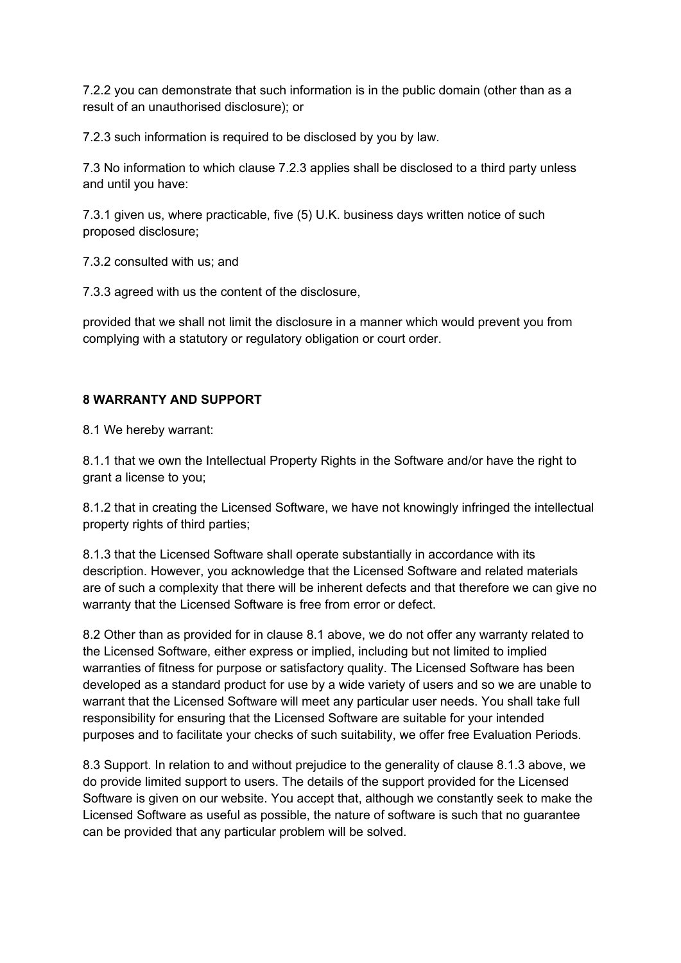7.2.2 you can demonstrate that such information is in the public domain (other than as a result of an unauthorised disclosure); or

7.2.3 such information is required to be disclosed by you by law.

7.3 No information to which clause 7.2.3 applies shall be disclosed to a third party unless and until you have:

7.3.1 given us, where practicable, five (5) U.K. business days written notice of such proposed disclosure;

7.3.2 consulted with us; and

7.3.3 agreed with us the content of the disclosure,

provided that we shall not limit the disclosure in a manner which would prevent you from complying with a statutory or regulatory obligation or court order.

### **8 WARRANTY AND SUPPORT**

8.1 We hereby warrant:

8.1.1 that we own the Intellectual Property Rights in the Software and/or have the right to grant a license to you;

8.1.2 that in creating the Licensed Software, we have not knowingly infringed the intellectual property rights of third parties;

8.1.3 that the Licensed Software shall operate substantially in accordance with its description. However, you acknowledge that the Licensed Software and related materials are of such a complexity that there will be inherent defects and that therefore we can give no warranty that the Licensed Software is free from error or defect.

8.2 Other than as provided for in clause 8.1 above, we do not offer any warranty related to the Licensed Software, either express or implied, including but not limited to implied warranties of fitness for purpose or satisfactory quality. The Licensed Software has been developed as a standard product for use by a wide variety of users and so we are unable to warrant that the Licensed Software will meet any particular user needs. You shall take full responsibility for ensuring that the Licensed Software are suitable for your intended purposes and to facilitate your checks of such suitability, we offer free Evaluation Periods.

8.3 Support. In relation to and without prejudice to the generality of clause 8.1.3 above, we do provide limited support to users. The details of the support provided for the Licensed Software is given on our website. You accept that, although we constantly seek to make the Licensed Software as useful as possible, the nature of software is such that no guarantee can be provided that any particular problem will be solved.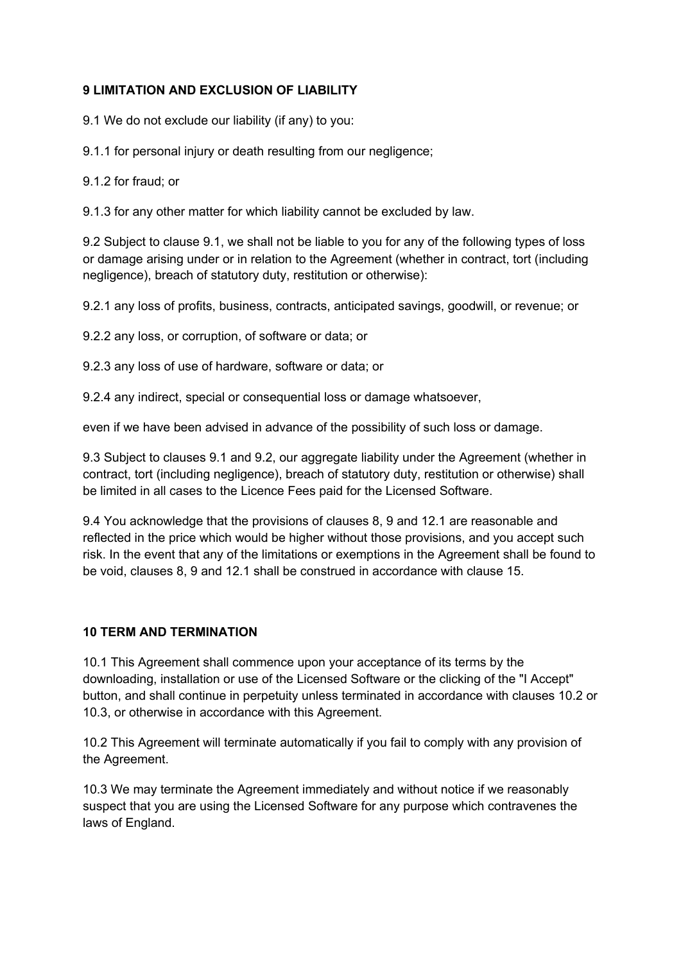#### **9 LIMITATION AND EXCLUSION OF LIABILITY**

9.1 We do not exclude our liability (if any) to you:

9.1.1 for personal injury or death resulting from our negligence;

9.1.2 for fraud; or

9.1.3 for any other matter for which liability cannot be excluded by law.

9.2 Subject to clause 9.1, we shall not be liable to you for any of the following types of loss or damage arising under or in relation to the Agreement (whether in contract, tort (including negligence), breach of statutory duty, restitution or otherwise):

9.2.1 any loss of profits, business, contracts, anticipated savings, goodwill, or revenue; or

9.2.2 any loss, or corruption, of software or data; or

9.2.3 any loss of use of hardware, software or data; or

9.2.4 any indirect, special or consequential loss or damage whatsoever,

even if we have been advised in advance of the possibility of such loss or damage.

9.3 Subject to clauses 9.1 and 9.2, our aggregate liability under the Agreement (whether in contract, tort (including negligence), breach of statutory duty, restitution or otherwise) shall be limited in all cases to the Licence Fees paid for the Licensed Software.

9.4 You acknowledge that the provisions of clauses 8, 9 and 12.1 are reasonable and reflected in the price which would be higher without those provisions, and you accept such risk. In the event that any of the limitations or exemptions in the Agreement shall be found to be void, clauses 8, 9 and 12.1 shall be construed in accordance with clause 15.

### **10 TERM AND TERMINATION**

10.1 This Agreement shall commence upon your acceptance of its terms by the downloading, installation or use of the Licensed Software or the clicking of the "I Accept" button, and shall continue in perpetuity unless terminated in accordance with clauses 10.2 or 10.3, or otherwise in accordance with this Agreement.

10.2 This Agreement will terminate automatically if you fail to comply with any provision of the Agreement.

10.3 We may terminate the Agreement immediately and without notice if we reasonably suspect that you are using the Licensed Software for any purpose which contravenes the laws of England.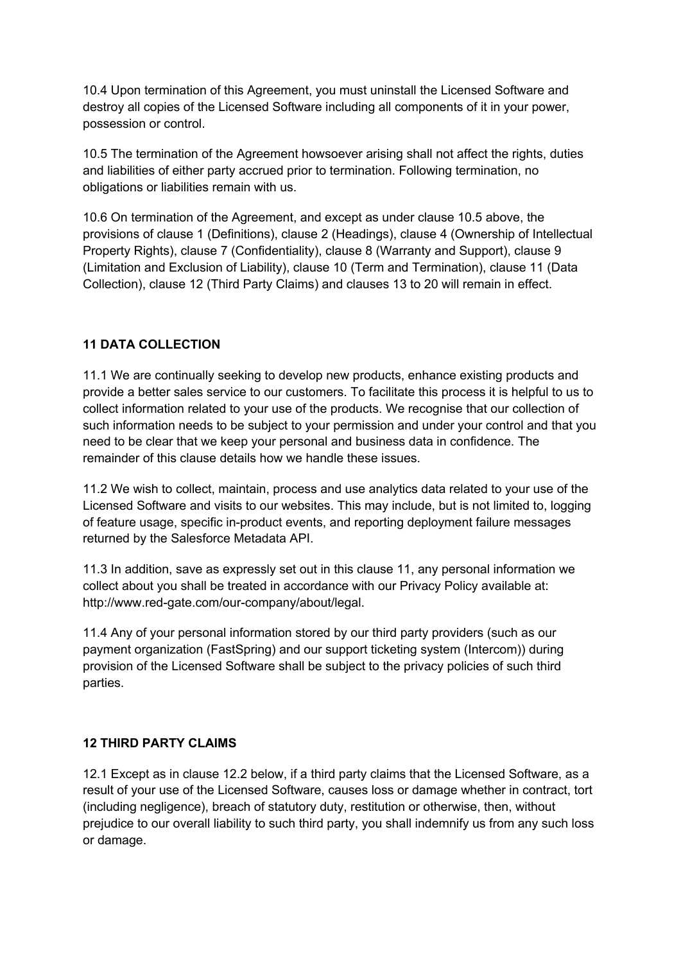10.4 Upon termination of this Agreement, you must uninstall the Licensed Software and destroy all copies of the Licensed Software including all components of it in your power, possession or control.

10.5 The termination of the Agreement howsoever arising shall not affect the rights, duties and liabilities of either party accrued prior to termination. Following termination, no obligations or liabilities remain with us.

10.6 On termination of the Agreement, and except as under clause 10.5 above, the provisions of clause 1 (Definitions), clause 2 (Headings), clause 4 (Ownership of Intellectual Property Rights), clause 7 (Confidentiality), clause 8 (Warranty and Support), clause 9 (Limitation and Exclusion of Liability), clause 10 (Term and Termination), clause 11 (Data Collection), clause 12 (Third Party Claims) and clauses 13 to 20 will remain in effect.

### **11 DATA COLLECTION**

11.1 We are continually seeking to develop new products, enhance existing products and provide a better sales service to our customers. To facilitate this process it is helpful to us to collect information related to your use of the products. We recognise that our collection of such information needs to be subject to your permission and under your control and that you need to be clear that we keep your personal and business data in confidence. The remainder of this clause details how we handle these issues.

11.2 We wish to collect, maintain, process and use analytics data related to your use of the Licensed Software and visits to our websites. This may include, but is not limited to, logging of feature usage, specific in-product events, and reporting deployment failure messages returned by the Salesforce Metadata API.

11.3 In addition, save as expressly set out in this clause 11, any personal information we collect about you shall be treated in accordance with our Privacy Policy available at: http://www.red-gate.com/our-company/about/legal.

11.4 Any of your personal information stored by our third party providers (such as our payment organization (FastSpring) and our support ticketing system (Intercom)) during provision of the Licensed Software shall be subject to the privacy policies of such third parties.

### **12 THIRD PARTY CLAIMS**

12.1 Except as in clause 12.2 below, if a third party claims that the Licensed Software, as a result of your use of the Licensed Software, causes loss or damage whether in contract, tort (including negligence), breach of statutory duty, restitution or otherwise, then, without prejudice to our overall liability to such third party, you shall indemnify us from any such loss or damage.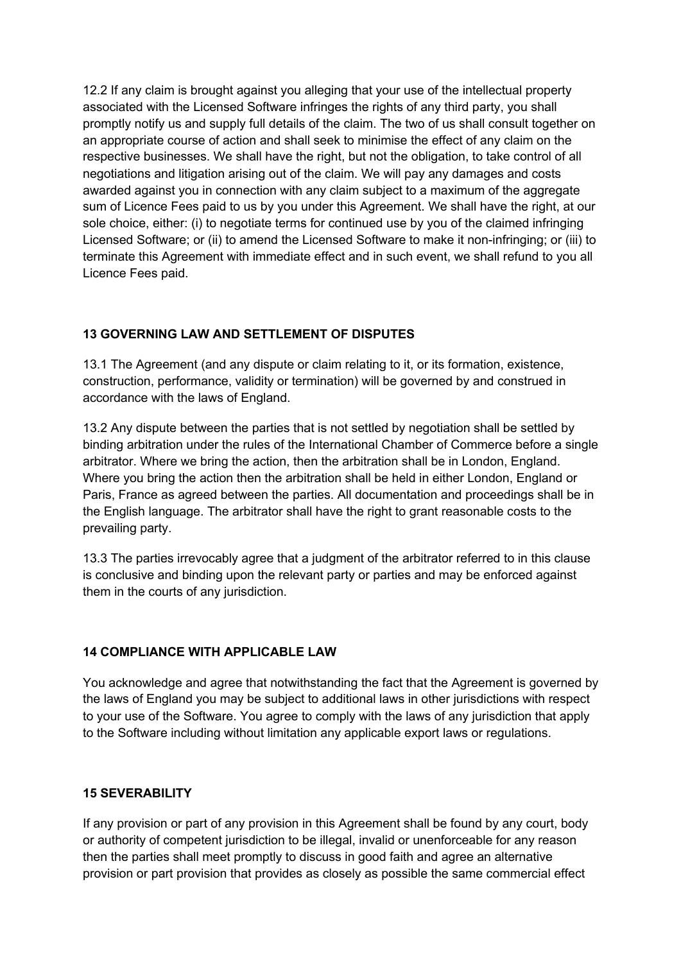12.2 If any claim is brought against you alleging that your use of the intellectual property associated with the Licensed Software infringes the rights of any third party, you shall promptly notify us and supply full details of the claim. The two of us shall consult together on an appropriate course of action and shall seek to minimise the effect of any claim on the respective businesses. We shall have the right, but not the obligation, to take control of all negotiations and litigation arising out of the claim. We will pay any damages and costs awarded against you in connection with any claim subject to a maximum of the aggregate sum of Licence Fees paid to us by you under this Agreement. We shall have the right, at our sole choice, either: (i) to negotiate terms for continued use by you of the claimed infringing Licensed Software; or (ii) to amend the Licensed Software to make it non-infringing; or (iii) to terminate this Agreement with immediate effect and in such event, we shall refund to you all Licence Fees paid.

# **13 GOVERNING LAW AND SETTLEMENT OF DISPUTES**

13.1 The Agreement (and any dispute or claim relating to it, or its formation, existence, construction, performance, validity or termination) will be governed by and construed in accordance with the laws of England.

13.2 Any dispute between the parties that is not settled by negotiation shall be settled by binding arbitration under the rules of the International Chamber of Commerce before a single arbitrator. Where we bring the action, then the arbitration shall be in London, England. Where you bring the action then the arbitration shall be held in either London, England or Paris, France as agreed between the parties. All documentation and proceedings shall be in the English language. The arbitrator shall have the right to grant reasonable costs to the prevailing party.

13.3 The parties irrevocably agree that a judgment of the arbitrator referred to in this clause is conclusive and binding upon the relevant party or parties and may be enforced against them in the courts of any jurisdiction.

### **14 COMPLIANCE WITH APPLICABLE LAW**

You acknowledge and agree that notwithstanding the fact that the Agreement is governed by the laws of England you may be subject to additional laws in other jurisdictions with respect to your use of the Software. You agree to comply with the laws of any jurisdiction that apply to the Software including without limitation any applicable export laws or regulations.

#### **15 SEVERABILITY**

If any provision or part of any provision in this Agreement shall be found by any court, body or authority of competent jurisdiction to be illegal, invalid or unenforceable for any reason then the parties shall meet promptly to discuss in good faith and agree an alternative provision or part provision that provides as closely as possible the same commercial effect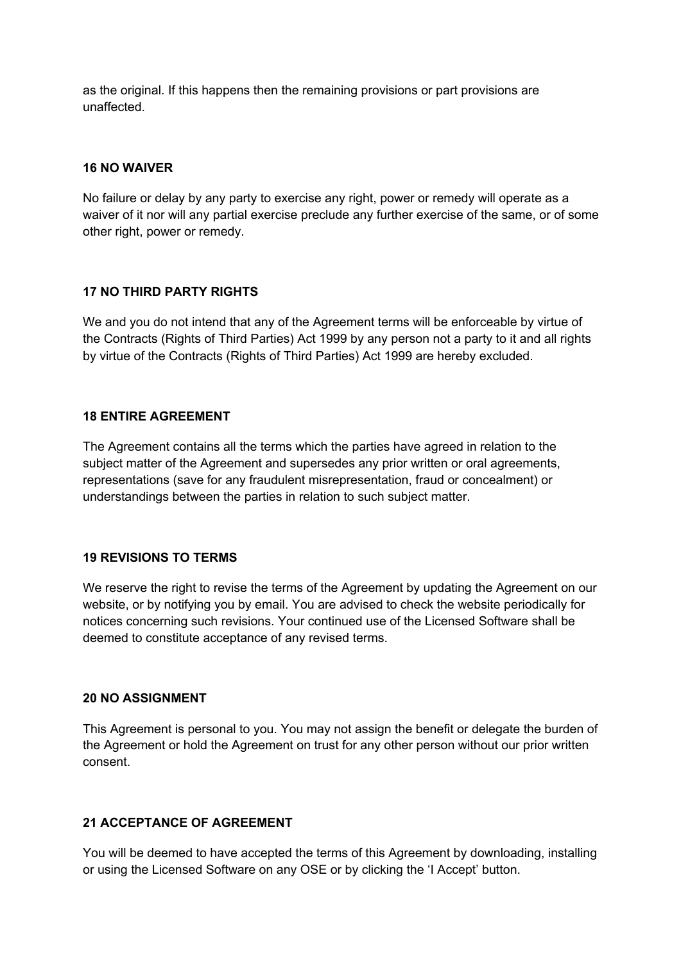as the original. If this happens then the remaining provisions or part provisions are unaffected.

#### **16 NO WAIVER**

No failure or delay by any party to exercise any right, power or remedy will operate as a waiver of it nor will any partial exercise preclude any further exercise of the same, or of some other right, power or remedy.

#### **17 NO THIRD PARTY RIGHTS**

We and you do not intend that any of the Agreement terms will be enforceable by virtue of the Contracts (Rights of Third Parties) Act 1999 by any person not a party to it and all rights by virtue of the Contracts (Rights of Third Parties) Act 1999 are hereby excluded.

#### **18 ENTIRE AGREEMENT**

The Agreement contains all the terms which the parties have agreed in relation to the subject matter of the Agreement and supersedes any prior written or oral agreements, representations (save for any fraudulent misrepresentation, fraud or concealment) or understandings between the parties in relation to such subject matter.

#### **19 REVISIONS TO TERMS**

We reserve the right to revise the terms of the Agreement by updating the Agreement on our website, or by notifying you by email. You are advised to check the website periodically for notices concerning such revisions. Your continued use of the Licensed Software shall be deemed to constitute acceptance of any revised terms.

#### **20 NO ASSIGNMENT**

This Agreement is personal to you. You may not assign the benefit or delegate the burden of the Agreement or hold the Agreement on trust for any other person without our prior written consent.

#### **21 ACCEPTANCE OF AGREEMENT**

You will be deemed to have accepted the terms of this Agreement by downloading, installing or using the Licensed Software on any OSE or by clicking the 'I Accept' button.